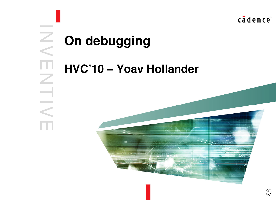cadence<sup>®</sup>

# **On debugging**

 $\overline{z}$ 

 $\,<\,$ 

E

 $\mathbb Z$ 

TIV

E

#### **HVC'10 – Yoav Hollander**

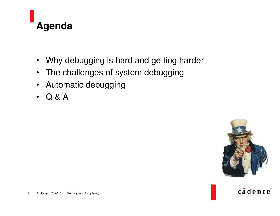

- $\bullet$ Why debugging is hard and getting harder
- $\bullet$ • The challenges of system debugging
- $\bullet$ Automatic debugging
- $\bullet$ Q & A



cādence<sup>®</sup>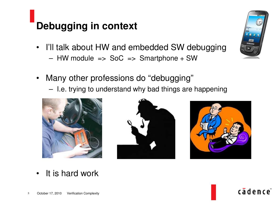## **Debugging in context**

- $\bullet$ • I'll talk about HW and embedded SW debugging
	- HW module => SoC => Smartphone <sup>+</sup> SW
- • Many other professions do "debugging"
	- – $-$  I.e. trying to understand why bad things are happening







 $\bullet$ • It is hard work



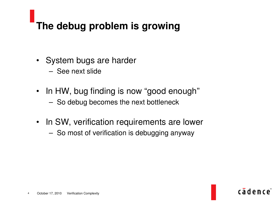# **The debug problem is growing**

- System bugs are harder
	- See next slide
- In HW, bug finding is now "good enough"
	- – $-$  So debug becomes the next bottleneck
- $\bullet$ • In SW, verification requirements are lower
	- – $-$  So most of verification is debugging anyway

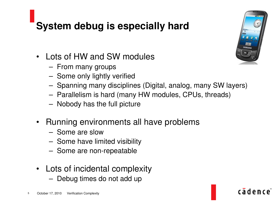### **System debug is especially hard**

- • Lots of HW and SW modules
	- From many groups
	- – $-$  Some only lightly verified
	- – $-$  Spanning many disciplines (Digital, analog, many SW layers)
	- Parallelism is hard (many HW modules, CPUs, threads)
	- –Nobody has the full picture
- $\bullet$  Running environments all have problems
	- Some are slow
	- –- Some have limited visibility
	- –- Some are non-repeatable
- $\bullet$  Lots of incidental complexity
	- – $-$  Debug times do not add up



cadence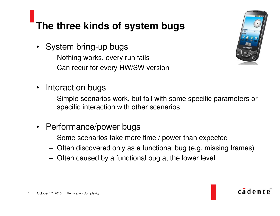#### **The three kinds of system bugs**

- System bring-up bugs
	- –Nothing works, every run fails
	- – $-$  Can recur for every HW/SW version
- $\bullet$ • Interaction bugs
	- – Simple scenarios work, but fail with some specific parameters or specific interaction with other scenarios
- $\bullet$  Performance/power bugs
	- – $-$  Some scenarios take more time / power than expected
	- –Often discovered only as <sup>a</sup> functional bug (e.g. missing frames)
	- –Often caused by <sup>a</sup> functional bug at the lower level



cādence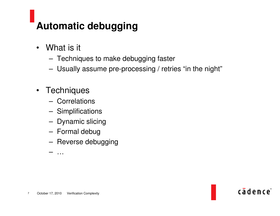# **Automatic debugging**

- What is it
	- –Techniques to make debugging faster
	- –Usually assume pre-processing / retries "in the night"

cadence<sup>®</sup>

- Techniques
	- Correlations
	- –Simplifications
	- –- Dynamic slicing
	- –Formal debug
	- –— Reverse debugging

–…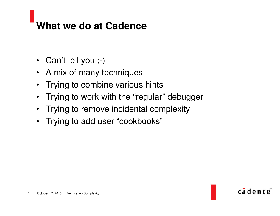#### **What we do at Cadence**

- Can't tell you ;-)
- A mix of many techniques
- •Trying to combine various hints
- $\bullet$ Trying to work with the "regular" debugger
- $\bullet$ Trying to remove incidental complexity
- Trying to add user "cookbooks"